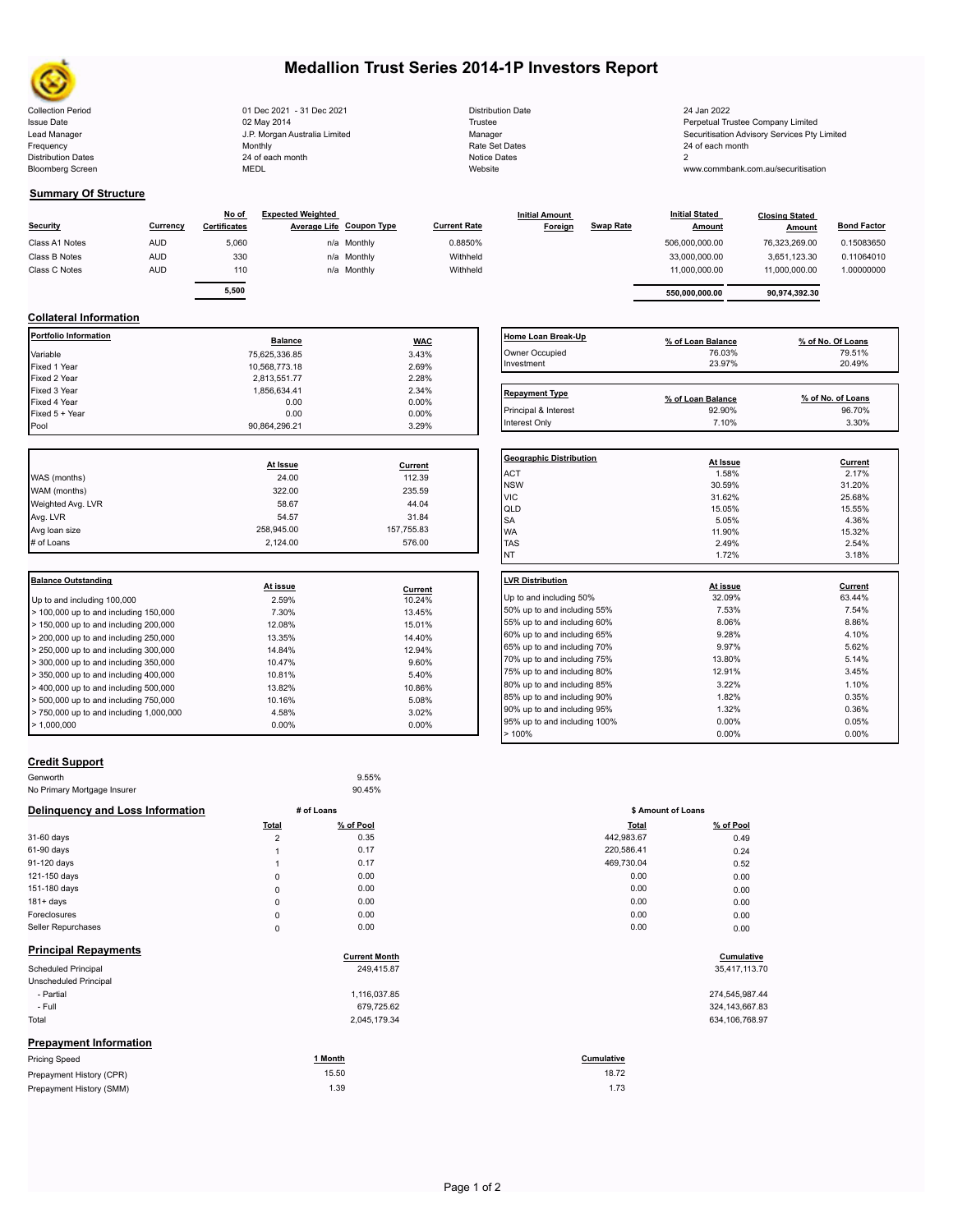

# **Medallion Trust Series 2014-1P Investors Report**

| <b>Collection Period</b>  | 01 Dec 2021 - 31 Dec 2021     | <b>Distribution Date</b> | 24 Jan 2022                              |
|---------------------------|-------------------------------|--------------------------|------------------------------------------|
| <b>Issue Date</b>         | 02 May 2014                   | Trustee                  | Perpetual Trustee Company Limited        |
| Lead Manager              | J.P. Morgan Australia Limited | Manager                  | Securitisation Advisory Services Pty Lir |
| Frequency                 | Monthly                       | Rate Set Dates           | 24 of each month                         |
| <b>Distribution Dates</b> | 24 of each month              | Notice Dates             |                                          |
| <b>Bloomberg Screen</b>   | MEDL                          | Website                  | www.commbank.com.au/securitisation       |
|                           |                               |                          |                                          |

| <b>Distribution Date</b> |
|--------------------------|
| Trustee                  |
| Manager                  |
| Rate Set Dates           |
| <b>Notice Dates</b>      |
| Website                  |

## **Summary Of Structure**

| <b>Security</b> | Currency   | No of<br><b>Certificates</b> | <b>Expected Weighted</b><br>Average Life Coupon Type |             | <b>Current Rate</b> | <b>Initial Amount</b><br>Foreign | <b>Swap Rate</b> | <b>Initial Stated</b><br><b>Amount</b> | <b>Closing Stated</b><br>Amount | <b>Bond Factor</b> |  |
|-----------------|------------|------------------------------|------------------------------------------------------|-------------|---------------------|----------------------------------|------------------|----------------------------------------|---------------------------------|--------------------|--|
| Class A1 Notes  | <b>AUD</b> | 5,060                        |                                                      | n/a Monthly | 0.8850%             |                                  |                  | 506,000,000.00                         | 76,323,269.00                   | 0.15083650         |  |
| Class B Notes   | <b>AUD</b> | 330                          |                                                      | n/a Monthly | Withheld            |                                  |                  | 33,000,000.00                          | 3,651,123.30                    | 0.11064010         |  |
| Class C Notes   | <b>AUD</b> | 110                          |                                                      | n/a Monthly | Withheld            |                                  |                  | 11.000.000.00                          | 11,000,000.00                   | 1.00000000         |  |
|                 |            |                              |                                                      |             |                     |                                  |                  |                                        |                                 |                    |  |
|                 |            | 5,500                        |                                                      |             |                     |                                  |                  | 550,000,000.00                         | 90,974,392.30                   |                    |  |

#### **Collateral Information**

| <b>Portfolio Information</b>  | <b>Balance</b>              | <b>WAC</b>                  | <b>Home Loan Break</b>                                              |
|-------------------------------|-----------------------------|-----------------------------|---------------------------------------------------------------------|
| Variable                      | 75,625,336.85               | 3.43%                       | Owner Occupied                                                      |
| Fixed 1 Year                  | 10,568,773.18               | 2.69%                       | Investment                                                          |
| Fixed 2 Year                  | 2,813,551.77                | 2.28%                       |                                                                     |
| Fixed 3 Year                  | 1,856,634.41                | 2.34%                       | <b>Repayment Type</b>                                               |
| Fixed 4 Year                  | 0.00                        | 0.00%                       |                                                                     |
| Fixed 5 + Year                | 0.00                        | 0.00%                       | Principal & Interest                                                |
| Pool                          | 90,864,296.21               | 3.29%                       | Interest Only                                                       |
| WAS (months)<br>WAM (months)  | At Issue<br>24.00<br>322.00 | Current<br>112.39<br>235.59 | <b>Geographic Distril</b><br><b>ACT</b><br><b>NSW</b><br><b>VIC</b> |
| Weighted Avg. LVR             | 58.67                       | 44.04                       | QLD                                                                 |
| Avg. LVR                      | 54.57                       | 31.84                       | <b>SA</b>                                                           |
| Avg loan size                 | 258,945.00                  | 157,755.83                  | <b>WA</b>                                                           |
| # of Loans                    | 2,124.00                    | 576.00                      | <b>TAS</b>                                                          |
|                               |                             |                             | <b>NT</b>                                                           |
| <b>Balance Outstanding</b>    | At issue                    | <b>Current</b>              | <b>LVR Distribution</b>                                             |
| LLIn to and including 100,000 | 2.59%                       | 10 24%                      | Up to and including                                                 |

|                                            | At 19946 | Current  |                     |
|--------------------------------------------|----------|----------|---------------------|
| Up to and including 100,000                | 2.59%    | 10.24%   | Up to and including |
| $>$ 100,000 up to and including 150,000    | 7.30%    | 13.45%   | 50% up to and incl  |
| $\geq 150,000$ up to and including 200,000 | 12.08%   | 15.01%   | 55% up to and incl  |
| $>$ 200,000 up to and including 250,000    | 13.35%   | 14.40%   | 60% up to and incl  |
| $> 250,000$ up to and including 300,000    | 14.84%   | 12.94%   | 65% up to and incl  |
| $\geq$ 300,000 up to and including 350,000 | 10.47%   | 9.60%    | 70% up to and incl  |
| $\geq$ 350,000 up to and including 400,000 | 10.81%   | 5.40%    | 75% up to and incl  |
| $>$ 400,000 up to and including 500,000    | 13.82%   | 10.86%   | 80% up to and incl  |
| $>$ 500,000 up to and including 750,000    | 10.16%   | 5.08%    | 85% up to and incl  |
| $> 750,000$ up to and including 1,000,000  | 4.58%    | 3.02%    | 90% up to and incl  |
| $\blacktriangleright$ 1.000.000            | $0.00\%$ | $0.00\%$ | 95% up to and incl  |
|                                            |          |          | $-4000$             |

| Home Loan Break-Up    | % of Loan Balance           | % of No. Of Loans           |
|-----------------------|-----------------------------|-----------------------------|
| Owner Occupied        | 76.03%                      | 79.51%                      |
| Investment            | 23.97%                      | 20.49%                      |
|                       |                             |                             |
| <b>Repayment Type</b> |                             |                             |
| Principal & Interest  | % of Loan Balance<br>92.90% | % of No. of Loans<br>96.70% |

| Geographic Distribution |          |         |
|-------------------------|----------|---------|
|                         | At Issue | Current |
| <b>ACT</b>              | 1.58%    | 2.17%   |
| <b>NSW</b>              | 30.59%   | 31.20%  |
| <b>VIC</b>              | 31.62%   | 25.68%  |
| QLD                     | 15.05%   | 15.55%  |
| <b>SA</b>               | 5.05%    | 4.36%   |
| <b>WA</b>               | 11.90%   | 15.32%  |
| <b>TAS</b>              | 2.49%    | 2.54%   |
| <b>INT</b>              | 1.72%    | 3.18%   |
|                         |          |         |

| <b>LVR Distribution</b>      | At issue | Current  |
|------------------------------|----------|----------|
| Up to and including 50%      | 32.09%   | 63.44%   |
| 50% up to and including 55%  | 7.53%    | 7.54%    |
| 55% up to and including 60%  | 8.06%    | 8.86%    |
| 60% up to and including 65%  | 9.28%    | 4.10%    |
| 65% up to and including 70%  | 9.97%    | 5.62%    |
| 70% up to and including 75%  | 13.80%   | 5.14%    |
| 75% up to and including 80%  | 12.91%   | 3.45%    |
| 80% up to and including 85%  | 3.22%    | 1.10%    |
| 85% up to and including 90%  | 1.82%    | 0.35%    |
| 90% up to and including 95%  | 1.32%    | 0.36%    |
| 95% up to and including 100% | $0.00\%$ | 0.05%    |
| >100%                        | $0.00\%$ | $0.00\%$ |
|                              |          |          |

### **Credit Support**

| Genworth                         |                | 9.55%                |                    |                  |  |
|----------------------------------|----------------|----------------------|--------------------|------------------|--|
| No Primary Mortgage Insurer      |                | 90.45%               |                    |                  |  |
| Delinquency and Loss Information | # of Loans     |                      | \$ Amount of Loans |                  |  |
|                                  | <b>Total</b>   | % of Pool            | <b>Total</b>       | % of Pool        |  |
| 31-60 days                       | $\overline{2}$ | 0.35                 | 442,983.67         | 0.49             |  |
| 61-90 days                       |                | 0.17                 | 220,586.41         | 0.24             |  |
| 91-120 days                      |                | 0.17                 | 469,730.04         | 0.52             |  |
| 121-150 days                     | $\mathbf 0$    | 0.00                 | 0.00               | 0.00             |  |
| 151-180 days                     | $\mathbf 0$    | 0.00                 | 0.00               | 0.00             |  |
| $181 + days$                     | $\mathbf{0}$   | 0.00                 | 0.00               | 0.00             |  |
| Foreclosures                     | 0              | 0.00                 | 0.00               | 0.00             |  |
| Seller Repurchases               | $\mathbf 0$    | 0.00                 | 0.00               | 0.00             |  |
| <b>Principal Repayments</b>      |                | <b>Current Month</b> |                    | Cumulative       |  |
| <b>Scheduled Principal</b>       |                | 249,415.87           |                    | 35,417,113.70    |  |
| <b>Unscheduled Principal</b>     |                |                      |                    |                  |  |
| - Partial                        |                | 1,116,037.85         |                    | 274,545,987.44   |  |
| - Full                           |                | 679,725.62           |                    | 324, 143, 667.83 |  |
| Total                            |                | 2,045,179.34         |                    | 634,106,768.97   |  |
| $\overline{\phantom{a}}$         |                |                      |                    |                  |  |

| Total       | % of Pool            | <b>Total</b> | % of Pool      |
|-------------|----------------------|--------------|----------------|
| 2           | 0.35                 | 442,983.67   | 0.49           |
| 1           | 0.17                 | 220,586.41   | 0.24           |
| 1           | 0.17                 | 469,730.04   | 0.52           |
| 0           | 0.00                 | 0.00         | 0.00           |
| $\mathsf 0$ | 0.00                 | 0.00         | 0.00           |
| $\pmb{0}$   | 0.00                 | 0.00         | 0.00           |
| $\mathsf 0$ | 0.00                 | 0.00         | 0.00           |
| $\mathsf 0$ | 0.00                 | 0.00         | 0.00           |
|             | <b>Current Month</b> |              | Cumulative     |
|             | 249,415.87           |              | 35,417,113.70  |
|             | 1,116,037.85         |              | 274,545,987.44 |
|             | 270.705.00           |              | 0.0111000700   |

| 324,143,667.   |  |
|----------------|--|
| 634, 106, 768. |  |

### **Prepayment Information**

| <b>Pricing Speed</b>     | l Month | Cumulative |
|--------------------------|---------|------------|
| Prepayment History (CPR) | 15.50   | 18.72      |
| Prepayment History (SMM) | 1.39    | 1.73       |